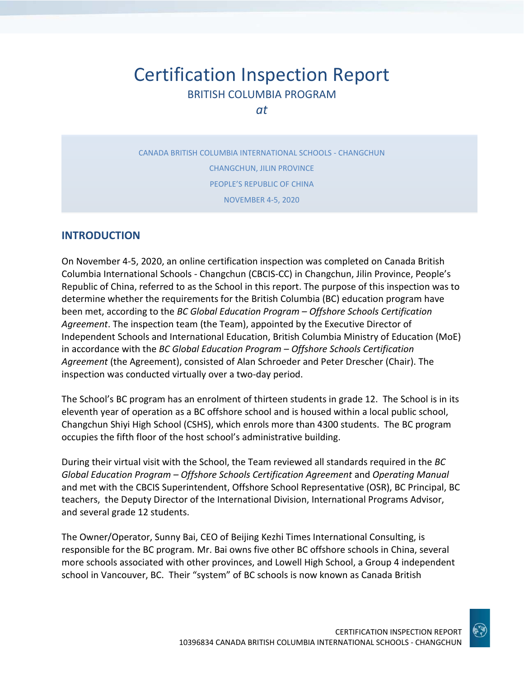# Certification Inspection Report BRITISH COLUMBIA PROGRAM

*at*

CANADA BRITISH COLUMBIA INTERNATIONAL SCHOOLS - CHANGCHUN CHANGCHUN, JILIN PROVINCE PEOPLE'S REPUBLIC OF CHINA NOVEMBER 4-5, 2020

#### **INTRODUCTION**

On November 4-5, 2020, an online certification inspection was completed on Canada British Columbia International Schools - Changchun (CBCIS-CC) in Changchun, Jilin Province, People's Republic of China, referred to as the School in this report. The purpose of this inspection was to determine whether the requirements for the British Columbia (BC) education program have been met, according to the *BC Global Education Program – Offshore Schools Certification Agreement*. The inspection team (the Team), appointed by the Executive Director of Independent Schools and International Education, British Columbia Ministry of Education (MoE) in accordance with the *BC Global Education Program – Offshore Schools Certification Agreement* (the Agreement), consisted of Alan Schroeder and Peter Drescher (Chair). The inspection was conducted virtually over a two-day period.

The School's BC program has an enrolment of thirteen students in grade 12. The School is in its eleventh year of operation as a BC offshore school and is housed within a local public school, Changchun Shiyi High School (CSHS), which enrols more than 4300 students. The BC program occupies the fifth floor of the host school's administrative building.

During their virtual visit with the School, the Team reviewed all standards required in the *BC Global Education Program – Offshore Schools Certification Agreement* and *Operating Manual*  and met with the CBCIS Superintendent, Offshore School Representative (OSR), BC Principal, BC teachers, the Deputy Director of the International Division, International Programs Advisor, and several grade 12 students.

The Owner/Operator, Sunny Bai, CEO of Beijing Kezhi Times International Consulting, is responsible for the BC program. Mr. Bai owns five other BC offshore schools in China, several more schools associated with other provinces, and Lowell High School, a Group 4 independent school in Vancouver, BC. Their "system" of BC schools is now known as Canada British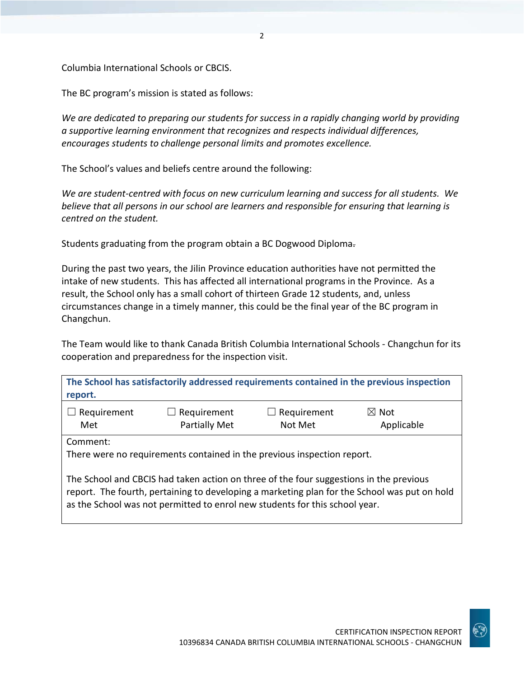Columbia International Schools or CBCIS.

The BC program's mission is stated as follows:

*We are dedicated to preparing our students for success in a rapidly changing world by providing a supportive learning environment that recognizes and respects individual differences, encourages students to challenge personal limits and promotes excellence.*

 $\overline{\phantom{a}}$ 

The School's values and beliefs centre around the following:

*We are student-centred with focus on new curriculum learning and success for all students. We believe that all persons in our school are learners and responsible for ensuring that learning is centred on the student.*

Students graduating from the program obtain a BC Dogwood Diploma.

During the past two years, the Jilin Province education authorities have not permitted the intake of new students. This has affected all international programs in the Province. As a result, the School only has a small cohort of thirteen Grade 12 students, and, unless circumstances change in a timely manner, this could be the final year of the BC program in Changchun.

The Team would like to thank Canada British Columbia International Schools - Changchun for its cooperation and preparedness for the inspection visit.

| report.                                                                                |                                            |                             | The School has satisfactorily addressed requirements contained in the previous inspection |
|----------------------------------------------------------------------------------------|--------------------------------------------|-----------------------------|-------------------------------------------------------------------------------------------|
| Requirement<br>Met                                                                     | $\Box$ Requirement<br><b>Partially Met</b> | Requirement<br>ப<br>Not Met | $\boxtimes$ Not<br>Applicable                                                             |
| Comment:<br>There were no requirements contained in the previous inspection report.    |                                            |                             |                                                                                           |
| The School and CBCIS had taken action on three of the four suggestions in the previous |                                            |                             |                                                                                           |

report. The fourth, pertaining to developing a marketing plan for the School was put on hold as the School was not permitted to enrol new students for this school year.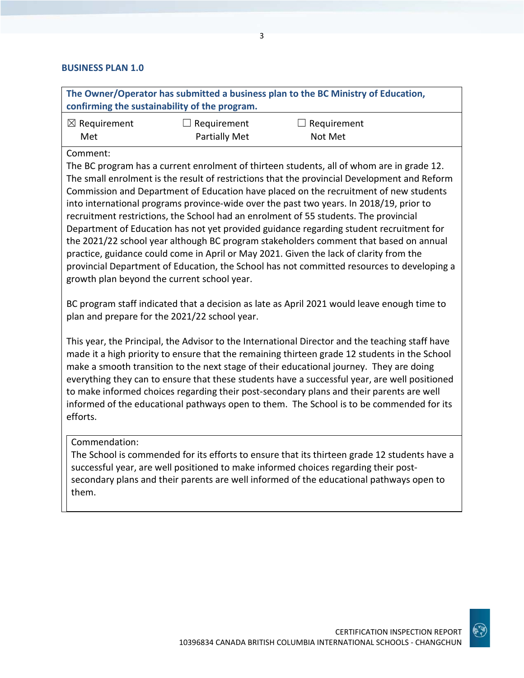#### **BUSINESS PLAN 1.0**

|                                | confirming the sustainability of the program. | The Owner/Operator has submitted a business plan to the BC Ministry of Education,                                                                                                                                                                                                                                                                                                                                                                                                                                                                                                                                                                                                                                                                                                                                                                 |  |
|--------------------------------|-----------------------------------------------|---------------------------------------------------------------------------------------------------------------------------------------------------------------------------------------------------------------------------------------------------------------------------------------------------------------------------------------------------------------------------------------------------------------------------------------------------------------------------------------------------------------------------------------------------------------------------------------------------------------------------------------------------------------------------------------------------------------------------------------------------------------------------------------------------------------------------------------------------|--|
| $\boxtimes$ Requirement<br>Met | Requirement<br>Partially Met                  | Requirement<br>Not Met                                                                                                                                                                                                                                                                                                                                                                                                                                                                                                                                                                                                                                                                                                                                                                                                                            |  |
| Comment:                       | growth plan beyond the current school year.   | The BC program has a current enrolment of thirteen students, all of whom are in grade 12.<br>The small enrolment is the result of restrictions that the provincial Development and Reform<br>Commission and Department of Education have placed on the recruitment of new students<br>into international programs province-wide over the past two years. In 2018/19, prior to<br>recruitment restrictions, the School had an enrolment of 55 students. The provincial<br>Department of Education has not yet provided guidance regarding student recruitment for<br>the 2021/22 school year although BC program stakeholders comment that based on annual<br>practice, guidance could come in April or May 2021. Given the lack of clarity from the<br>provincial Department of Education, the School has not committed resources to developing a |  |
|                                | plan and prepare for the 2021/22 school year. | BC program staff indicated that a decision as late as April 2021 would leave enough time to                                                                                                                                                                                                                                                                                                                                                                                                                                                                                                                                                                                                                                                                                                                                                       |  |
| efforts.                       |                                               | This year, the Principal, the Advisor to the International Director and the teaching staff have<br>made it a high priority to ensure that the remaining thirteen grade 12 students in the School<br>make a smooth transition to the next stage of their educational journey. They are doing<br>everything they can to ensure that these students have a successful year, are well positioned<br>to make informed choices regarding their post-secondary plans and their parents are well<br>informed of the educational pathways open to them. The School is to be commended for its                                                                                                                                                                                                                                                              |  |

#### Commendation:

The School is commended for its efforts to ensure that its thirteen grade 12 students have a successful year, are well positioned to make informed choices regarding their postsecondary plans and their parents are well informed of the educational pathways open to them.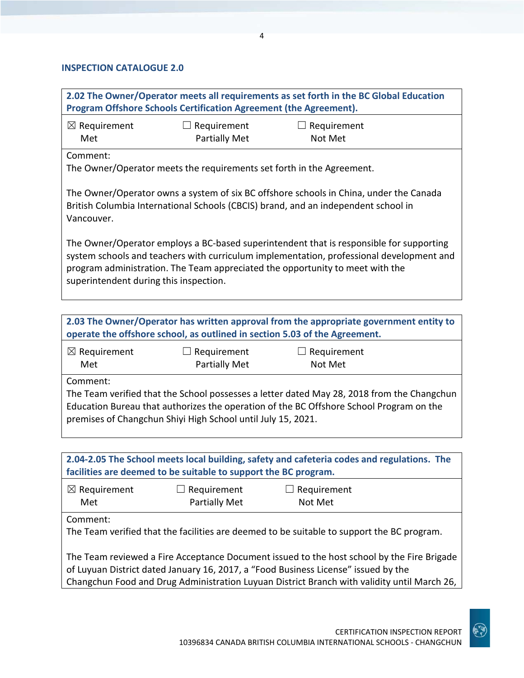#### **INSPECTION CATALOGUE 2.0**

| 2.02 The Owner/Operator meets all requirements as set forth in the BC Global Education<br>Program Offshore Schools Certification Agreement (the Agreement).                                                                                                                                                    |                                                                       |                                                                                        |  |
|----------------------------------------------------------------------------------------------------------------------------------------------------------------------------------------------------------------------------------------------------------------------------------------------------------------|-----------------------------------------------------------------------|----------------------------------------------------------------------------------------|--|
| $\boxtimes$ Requirement<br>Met                                                                                                                                                                                                                                                                                 | Requirement<br><b>Partially Met</b>                                   | Requirement<br>Not Met                                                                 |  |
| Comment:                                                                                                                                                                                                                                                                                                       | The Owner/Operator meets the requirements set forth in the Agreement. |                                                                                        |  |
| The Owner/Operator owns a system of six BC offshore schools in China, under the Canada<br>British Columbia International Schools (CBCIS) brand, and an independent school in<br>Vancouver.                                                                                                                     |                                                                       |                                                                                        |  |
| The Owner/Operator employs a BC-based superintendent that is responsible for supporting<br>system schools and teachers with curriculum implementation, professional development and<br>program administration. The Team appreciated the opportunity to meet with the<br>superintendent during this inspection. |                                                                       |                                                                                        |  |
|                                                                                                                                                                                                                                                                                                                |                                                                       |                                                                                        |  |
|                                                                                                                                                                                                                                                                                                                |                                                                       | 2.03 The Owner/Operator has written approval from the appropriate government entity to |  |

| operate the offshore school, as outlined in section 5.03 of the Agreement. |                                                              |                                                                                                                                                                                       |  |
|----------------------------------------------------------------------------|--------------------------------------------------------------|---------------------------------------------------------------------------------------------------------------------------------------------------------------------------------------|--|
| $\boxtimes$ Requirement<br>Met                                             | $\Box$ Requirement<br><b>Partially Met</b>                   | $\Box$ Requirement<br>Not Met                                                                                                                                                         |  |
| Comment:                                                                   | premises of Changchun Shiyi High School until July 15, 2021. | The Team verified that the School possesses a letter dated May 28, 2018 from the Changchun<br>Education Bureau that authorizes the operation of the BC Offshore School Program on the |  |

| 2.04-2.05 The School meets local building, safety and cafeteria codes and regulations. The<br>facilities are deemed to be suitable to support the BC program.                                                                                                                   |  |  |  |  |
|---------------------------------------------------------------------------------------------------------------------------------------------------------------------------------------------------------------------------------------------------------------------------------|--|--|--|--|
| $\boxtimes$ Requirement<br>$\Box$ Requirement<br>Requirement<br>Partially Met<br>Met<br>Not Met                                                                                                                                                                                 |  |  |  |  |
| Comment:<br>The Team verified that the facilities are deemed to be suitable to support the BC program.                                                                                                                                                                          |  |  |  |  |
| The Team reviewed a Fire Acceptance Document issued to the host school by the Fire Brigade<br>of Luyuan District dated January 16, 2017, a "Food Business License" issued by the<br>Changchun Food and Drug Administration Luyuan District Branch with validity until March 26, |  |  |  |  |

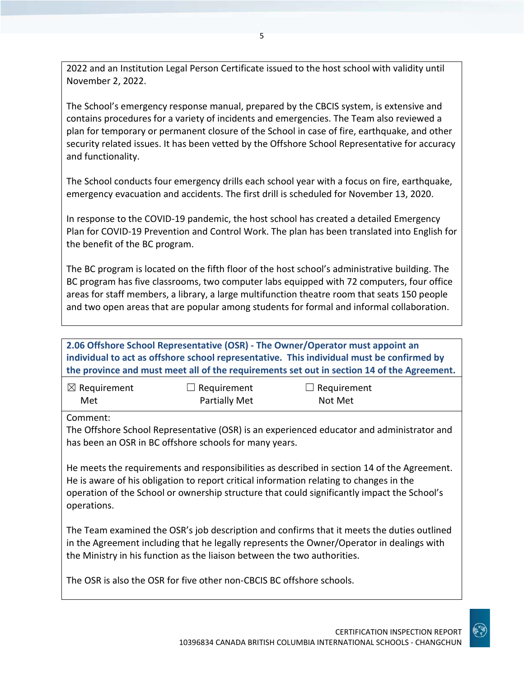2022 and an Institution Legal Person Certificate issued to the host school with validity until November 2, 2022.

The School's emergency response manual, prepared by the CBCIS system, is extensive and contains procedures for a variety of incidents and emergencies. The Team also reviewed a plan for temporary or permanent closure of the School in case of fire, earthquake, and other security related issues. It has been vetted by the Offshore School Representative for accuracy and functionality.

The School conducts four emergency drills each school year with a focus on fire, earthquake, emergency evacuation and accidents. The first drill is scheduled for November 13, 2020.

In response to the COVID-19 pandemic, the host school has created a detailed Emergency Plan for COVID-19 Prevention and Control Work. The plan has been translated into English for the benefit of the BC program.

The BC program is located on the fifth floor of the host school's administrative building. The BC program has five classrooms, two computer labs equipped with 72 computers, four office areas for staff members, a library, a large multifunction theatre room that seats 150 people and two open areas that are popular among students for formal and informal collaboration.

**2.06 Offshore School Representative (OSR) - The Owner/Operator must appoint an individual to act as offshore school representative. This individual must be confirmed by the province and must meet all of the requirements set out in section 14 of the Agreement.**

| $\boxtimes$ Requirement | $\Box$ Requirement   | $\Box$ Requirement |
|-------------------------|----------------------|--------------------|
| Met                     | <b>Partially Met</b> | Not Met            |

Comment:

The Offshore School Representative (OSR) is an experienced educator and administrator and has been an OSR in BC offshore schools for many years.

He meets the requirements and responsibilities as described in section 14 of the Agreement. He is aware of his obligation to report critical information relating to changes in the operation of the School or ownership structure that could significantly impact the School's operations.

The Team examined the OSR's job description and confirms that it meets the duties outlined in the Agreement including that he legally represents the Owner/Operator in dealings with the Ministry in his function as the liaison between the two authorities.

The OSR is also the OSR for five other non-CBCIS BC offshore schools.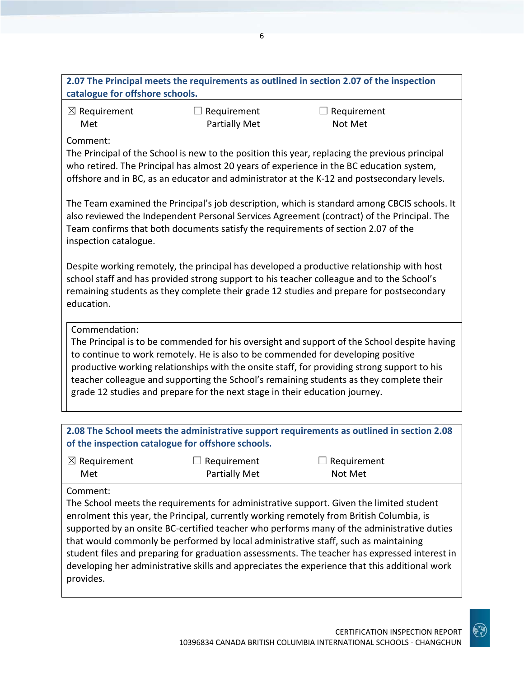| catalogue for offshore schools.                   |                                                                                                                                                                                                                                                                                 | 2.07 The Principal meets the requirements as outlined in section 2.07 of the inspection                                                                                                                                                                                                                                                                                   |  |  |
|---------------------------------------------------|---------------------------------------------------------------------------------------------------------------------------------------------------------------------------------------------------------------------------------------------------------------------------------|---------------------------------------------------------------------------------------------------------------------------------------------------------------------------------------------------------------------------------------------------------------------------------------------------------------------------------------------------------------------------|--|--|
| $\boxtimes$ Requirement<br>Met                    | Requirement<br><b>Partially Met</b>                                                                                                                                                                                                                                             | Requirement<br>Not Met                                                                                                                                                                                                                                                                                                                                                    |  |  |
| Comment:                                          |                                                                                                                                                                                                                                                                                 | The Principal of the School is new to the position this year, replacing the previous principal<br>who retired. The Principal has almost 20 years of experience in the BC education system,<br>offshore and in BC, as an educator and administrator at the K-12 and postsecondary levels.                                                                                  |  |  |
| inspection catalogue.                             | The Team examined the Principal's job description, which is standard among CBCIS schools. It<br>also reviewed the Independent Personal Services Agreement (contract) of the Principal. The<br>Team confirms that both documents satisfy the requirements of section 2.07 of the |                                                                                                                                                                                                                                                                                                                                                                           |  |  |
| education.                                        |                                                                                                                                                                                                                                                                                 | Despite working remotely, the principal has developed a productive relationship with host<br>school staff and has provided strong support to his teacher colleague and to the School's<br>remaining students as they complete their grade 12 studies and prepare for postsecondary                                                                                        |  |  |
| Commendation:                                     | grade 12 studies and prepare for the next stage in their education journey.                                                                                                                                                                                                     | The Principal is to be commended for his oversight and support of the School despite having<br>to continue to work remotely. He is also to be commended for developing positive<br>productive working relationships with the onsite staff, for providing strong support to his<br>teacher colleague and supporting the School's remaining students as they complete their |  |  |
| of the inspection catalogue for offshore schools. |                                                                                                                                                                                                                                                                                 | 2.08 The School meets the administrative support requirements as outlined in section 2.08                                                                                                                                                                                                                                                                                 |  |  |
| $\boxtimes$ Requirement<br>Met                    | Requirement<br><b>Partially Met</b>                                                                                                                                                                                                                                             | Requirement<br>Not Met                                                                                                                                                                                                                                                                                                                                                    |  |  |
| Comment:                                          |                                                                                                                                                                                                                                                                                 | The School meets the requirements for administrative support. Given the limited student<br>enrolment this year, the Principal, currently working remotely from British Columbia, is<br>supported by an onsite BC-certified teacher who performs many of the administrative duties                                                                                         |  |  |

that would commonly be performed by local administrative staff, such as maintaining student files and preparing for graduation assessments. The teacher has expressed interest in developing her administrative skills and appreciates the experience that this additional work provides.

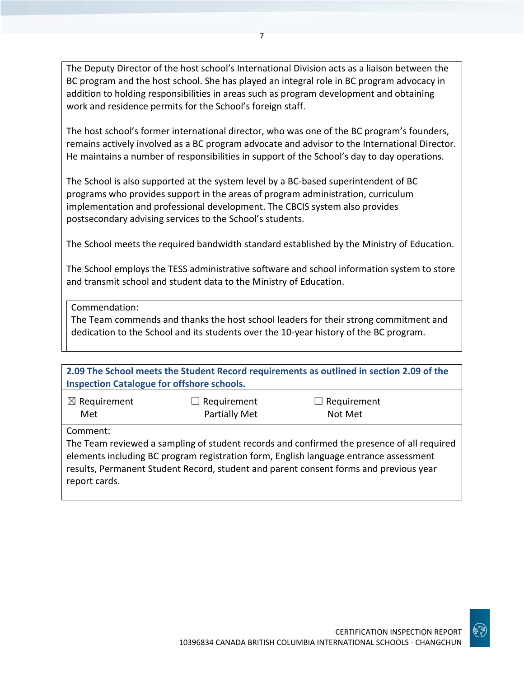The Deputy Director of the host school's International Division acts as a liaison between the BC program and the host school. She has played an integral role in BC program advocacy in addition to holding responsibilities in areas such as program development and obtaining work and residence permits for the School's foreign staff.

7

The host school's former international director, who was one of the BC program's founders, remains actively involved as a BC program advocate and advisor to the International Director. He maintains a number of responsibilities in support of the School's day to day operations.

The School is also supported at the system level by a BC-based superintendent of BC programs who provides support in the areas of program administration, curriculum implementation and professional development. The CBCIS system also provides postsecondary advising services to the School's students.

The School meets the required bandwidth standard established by the Ministry of Education.

The School employs the TESS administrative software and school information system to store and transmit school and student data to the Ministry of Education.

Commendation:

The Team commends and thanks the host school leaders for their strong commitment and dedication to the School and its students over the 10-year history of the BC program.

| <b>Inspection Catalogue for offshore schools.</b> |                                     | 2.09 The School meets the Student Record requirements as outlined in section 2.09 of the                                                                                                                                                                                     |
|---------------------------------------------------|-------------------------------------|------------------------------------------------------------------------------------------------------------------------------------------------------------------------------------------------------------------------------------------------------------------------------|
| $\boxtimes$ Requirement<br>Met                    | Requirement<br><b>Partially Met</b> | $\Box$ Requirement<br>Not Met                                                                                                                                                                                                                                                |
| Comment:<br>report cards.                         |                                     | The Team reviewed a sampling of student records and confirmed the presence of all required<br>elements including BC program registration form, English language entrance assessment<br>results, Permanent Student Record, student and parent consent forms and previous year |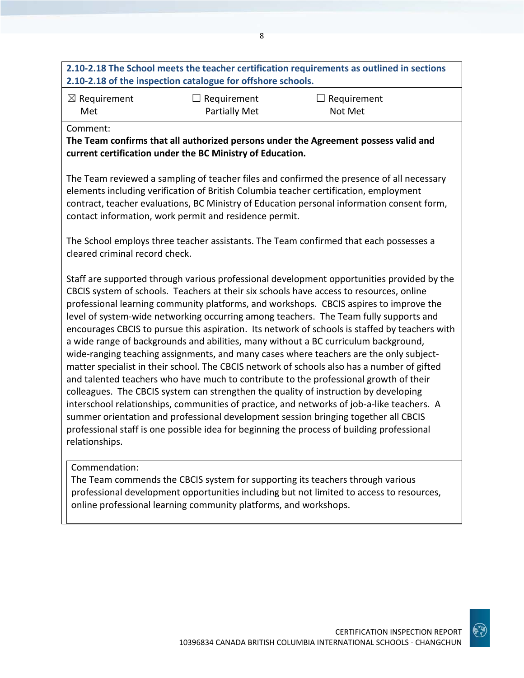## **2.10-2.18 The School meets the teacher certification requirements as outlined in sections 2.10-2.18 of the inspection catalogue for offshore schools.**

8

☒ Requirement Met

 $\Box$  Requirement Partially Met  $\Box$  Requirement

Not Met

Comment:

**The Team confirms that all authorized persons under the Agreement possess valid and current certification under the BC Ministry of Education.**

The Team reviewed a sampling of teacher files and confirmed the presence of all necessary elements including verification of British Columbia teacher certification, employment contract, teacher evaluations, BC Ministry of Education personal information consent form, contact information, work permit and residence permit.

The School employs three teacher assistants. The Team confirmed that each possesses a cleared criminal record check.

Staff are supported through various professional development opportunities provided by the CBCIS system of schools. Teachers at their six schools have access to resources, online professional learning community platforms, and workshops. CBCIS aspires to improve the level of system-wide networking occurring among teachers. The Team fully supports and encourages CBCIS to pursue this aspiration. Its network of schools is staffed by teachers with a wide range of backgrounds and abilities, many without a BC curriculum background, wide-ranging teaching assignments, and many cases where teachers are the only subjectmatter specialist in their school. The CBCIS network of schools also has a number of gifted and talented teachers who have much to contribute to the professional growth of their colleagues. The CBCIS system can strengthen the quality of instruction by developing interschool relationships, communities of practice, and networks of job-a-like teachers. A summer orientation and professional development session bringing together all CBCIS professional staff is one possible idea for beginning the process of building professional relationships.

#### Commendation:

The Team commends the CBCIS system for supporting its teachers through various professional development opportunities including but not limited to access to resources, online professional learning community platforms, and workshops.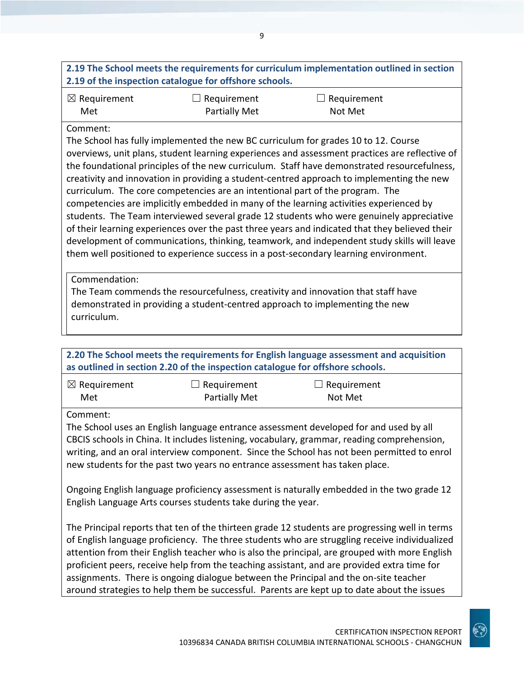|                                          |                                                                                               | 2.19 The School meets the requirements for curriculum implementation outlined in section                                                                                                                                                                                                                                                                                                                                                                                                                                                                                                                                                                                                                                                                                                                                                                                                                                                                                                                                           |
|------------------------------------------|-----------------------------------------------------------------------------------------------|------------------------------------------------------------------------------------------------------------------------------------------------------------------------------------------------------------------------------------------------------------------------------------------------------------------------------------------------------------------------------------------------------------------------------------------------------------------------------------------------------------------------------------------------------------------------------------------------------------------------------------------------------------------------------------------------------------------------------------------------------------------------------------------------------------------------------------------------------------------------------------------------------------------------------------------------------------------------------------------------------------------------------------|
| $\boxtimes$ Requirement<br>Met           | 2.19 of the inspection catalogue for offshore schools.<br>Requirement<br><b>Partially Met</b> | Requirement<br>Not Met                                                                                                                                                                                                                                                                                                                                                                                                                                                                                                                                                                                                                                                                                                                                                                                                                                                                                                                                                                                                             |
| Comment:<br>Commendation:<br>curriculum. | curriculum. The core competencies are an intentional part of the program. The                 | The School has fully implemented the new BC curriculum for grades 10 to 12. Course<br>overviews, unit plans, student learning experiences and assessment practices are reflective of<br>the foundational principles of the new curriculum. Staff have demonstrated resourcefulness,<br>creativity and innovation in providing a student-centred approach to implementing the new<br>competencies are implicitly embedded in many of the learning activities experienced by<br>students. The Team interviewed several grade 12 students who were genuinely appreciative<br>of their learning experiences over the past three years and indicated that they believed their<br>development of communications, thinking, teamwork, and independent study skills will leave<br>them well positioned to experience success in a post-secondary learning environment.<br>The Team commends the resourcefulness, creativity and innovation that staff have<br>demonstrated in providing a student-centred approach to implementing the new |
|                                          | as outlined in section 2.20 of the inspection catalogue for offshore schools.                 | 2.20 The School meets the requirements for English language assessment and acquisition                                                                                                                                                                                                                                                                                                                                                                                                                                                                                                                                                                                                                                                                                                                                                                                                                                                                                                                                             |
| $\boxtimes$ Requirement<br>Met           | $\Box$ Requirement<br><b>Partially Met</b>                                                    | Requirement<br>Not Met                                                                                                                                                                                                                                                                                                                                                                                                                                                                                                                                                                                                                                                                                                                                                                                                                                                                                                                                                                                                             |
| Comment:                                 | new students for the past two years no entrance assessment has taken place.                   | The School uses an English language entrance assessment developed for and used by all<br>CBCIS schools in China. It includes listening, vocabulary, grammar, reading comprehension,<br>writing, and an oral interview component. Since the School has not been permitted to enrol                                                                                                                                                                                                                                                                                                                                                                                                                                                                                                                                                                                                                                                                                                                                                  |
|                                          | English Language Arts courses students take during the year.                                  | Ongoing English language proficiency assessment is naturally embedded in the two grade 12                                                                                                                                                                                                                                                                                                                                                                                                                                                                                                                                                                                                                                                                                                                                                                                                                                                                                                                                          |
|                                          |                                                                                               | The Principal reports that ten of the thirteen grade 12 students are progressing well in terms                                                                                                                                                                                                                                                                                                                                                                                                                                                                                                                                                                                                                                                                                                                                                                                                                                                                                                                                     |

of English language proficiency. The three students who are struggling receive individualized attention from their English teacher who is also the principal, are grouped with more English proficient peers, receive help from the teaching assistant, and are provided extra time for assignments. There is ongoing dialogue between the Principal and the on-site teacher around strategies to help them be successful. Parents are kept up to date about the issues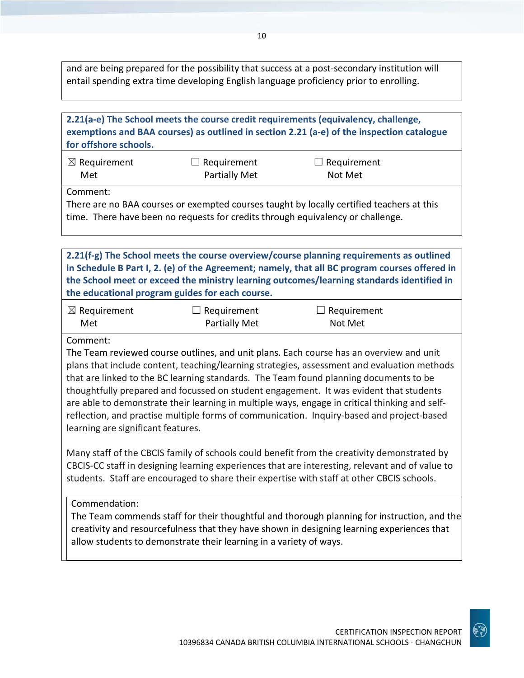and are being prepared for the possibility that success at a post-secondary institution will entail spending extra time developing English language proficiency prior to enrolling.

| for offshore schools.                          |                                                                                 | 2.21(a-e) The School meets the course credit requirements (equivalency, challenge,<br>exemptions and BAA courses) as outlined in section 2.21 (a-e) of the inspection catalogue                                                                                                                                                                                                                                                                                                                                                                                                                                                                                                                                                                                                                                                                                          |
|------------------------------------------------|---------------------------------------------------------------------------------|--------------------------------------------------------------------------------------------------------------------------------------------------------------------------------------------------------------------------------------------------------------------------------------------------------------------------------------------------------------------------------------------------------------------------------------------------------------------------------------------------------------------------------------------------------------------------------------------------------------------------------------------------------------------------------------------------------------------------------------------------------------------------------------------------------------------------------------------------------------------------|
| $\boxtimes$ Requirement<br>Met                 | $\sqsupset$ Requirement<br><b>Partially Met</b>                                 | Requirement<br>Not Met                                                                                                                                                                                                                                                                                                                                                                                                                                                                                                                                                                                                                                                                                                                                                                                                                                                   |
| Comment:                                       | time. There have been no requests for credits through equivalency or challenge. | There are no BAA courses or exempted courses taught by locally certified teachers at this                                                                                                                                                                                                                                                                                                                                                                                                                                                                                                                                                                                                                                                                                                                                                                                |
|                                                | the educational program guides for each course.                                 | 2.21(f-g) The School meets the course overview/course planning requirements as outlined<br>in Schedule B Part I, 2. (e) of the Agreement; namely, that all BC program courses offered in<br>the School meet or exceed the ministry learning outcomes/learning standards identified in                                                                                                                                                                                                                                                                                                                                                                                                                                                                                                                                                                                    |
| $\boxtimes$ Requirement<br>Met                 | $\Box$ Requirement<br><b>Partially Met</b>                                      | Requirement<br>Not Met                                                                                                                                                                                                                                                                                                                                                                                                                                                                                                                                                                                                                                                                                                                                                                                                                                                   |
| Comment:<br>learning are significant features. |                                                                                 | The Team reviewed course outlines, and unit plans. Each course has an overview and unit<br>plans that include content, teaching/learning strategies, assessment and evaluation methods<br>that are linked to the BC learning standards. The Team found planning documents to be<br>thoughtfully prepared and focussed on student engagement. It was evident that students<br>are able to demonstrate their learning in multiple ways, engage in critical thinking and self-<br>reflection, and practise multiple forms of communication. Inquiry-based and project-based<br>Many staff of the CBCIS family of schools could benefit from the creativity demonstrated by<br>CBCIS-CC staff in designing learning experiences that are interesting, relevant and of value to<br>students. Staff are encouraged to share their expertise with staff at other CBCIS schools. |
| Commendation:                                  | allow students to demonstrate their learning in a variety of ways.              | The Team commends staff for their thoughtful and thorough planning for instruction, and the<br>creativity and resourcefulness that they have shown in designing learning experiences that                                                                                                                                                                                                                                                                                                                                                                                                                                                                                                                                                                                                                                                                                |

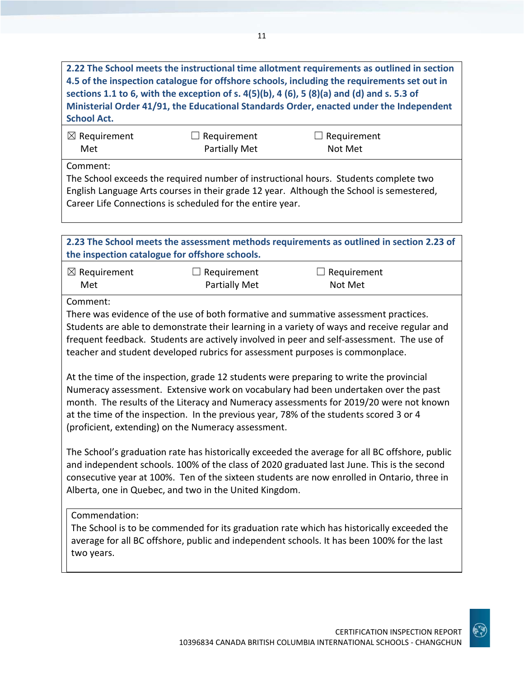**2.22 The School meets the instructional time allotment requirements as outlined in section 4.5 of the inspection catalogue for offshore schools, including the requirements set out in sections 1.1 to 6, with the exception of s. 4(5)(b), 4 (6), 5 (8)(a) and (d) and s. 5.3 of Ministerial Order 41/91, the Educational Standards Order, enacted under the Independent School Act.**

| $\boxtimes$ Requirement | $\Box$ Requirement   | $\Box$ Requirement |  |
|-------------------------|----------------------|--------------------|--|
| Met                     | <b>Partially Met</b> | Not Met            |  |

Comment:

The School exceeds the required number of instructional hours. Students complete two English Language Arts courses in their grade 12 year. Although the School is semestered, Career Life Connections is scheduled for the entire year.

**2.23 The School meets the assessment methods requirements as outlined in section 2.23 of the inspection catalogue for offshore schools.** ☒ Requirement Met  $\Box$  Requirement Partially Met  $\Box$  Requirement Not Met Comment: There was evidence of the use of both formative and summative assessment practices. Students are able to demonstrate their learning in a variety of ways and receive regular and frequent feedback. Students are actively involved in peer and self-assessment. The use of teacher and student developed rubrics for assessment purposes is commonplace. At the time of the inspection, grade 12 students were preparing to write the provincial Numeracy assessment. Extensive work on vocabulary had been undertaken over the past month. The results of the Literacy and Numeracy assessments for 2019/20 were not known at the time of the inspection. In the previous year, 78% of the students scored 3 or 4 (proficient, extending) on the Numeracy assessment. The School's graduation rate has historically exceeded the average for all BC offshore, public and independent schools. 100% of the class of 2020 graduated last June. This is the second consecutive year at 100%. Ten of the sixteen students are now enrolled in Ontario, three in Alberta, one in Quebec, and two in the United Kingdom.

#### Commendation:

The School is to be commended for its graduation rate which has historically exceeded the average for all BC offshore, public and independent schools. It has been 100% for the last two years.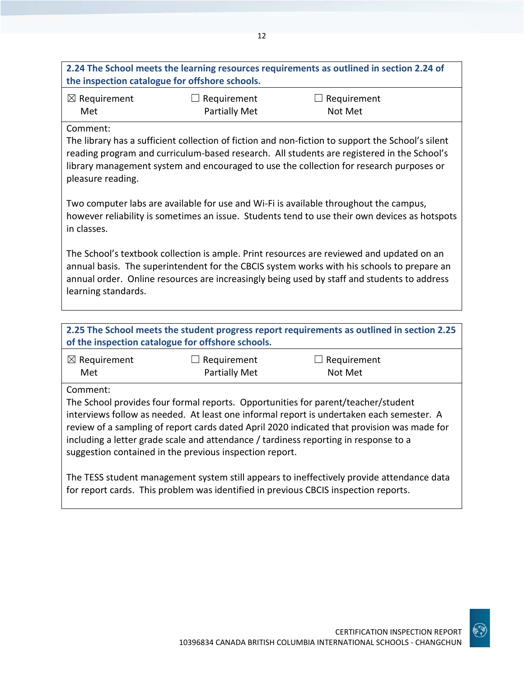## **2.24 The School meets the learning resources requirements as outlined in section 2.24 of the inspection catalogue for offshore schools.**

| $\boxtimes$ Requirement | $\Box$ Requirement | $\Box$ Requirement |
|-------------------------|--------------------|--------------------|
| Met                     | Partially Met      | Not Met            |

#### Comment:

The library has a sufficient collection of fiction and non-fiction to support the School's silent reading program and curriculum-based research. All students are registered in the School's library management system and encouraged to use the collection for research purposes or pleasure reading.

Two computer labs are available for use and Wi-Fi is available throughout the campus, however reliability is sometimes an issue. Students tend to use their own devices as hotspots in classes.

The School's textbook collection is ample. Print resources are reviewed and updated on an annual basis. The superintendent for the CBCIS system works with his schools to prepare an annual order. Online resources are increasingly being used by staff and students to address learning standards.

**2.25 The School meets the student progress report requirements as outlined in section 2.25 of the inspection catalogue for offshore schools.**

| $\boxtimes$ Requirement | $\Box$ Requirement   | $\Box$ Requirement |
|-------------------------|----------------------|--------------------|
| Met                     | <b>Partially Met</b> | Not Met            |

Comment:

The School provides four formal reports. Opportunities for parent/teacher/student interviews follow as needed. At least one informal report is undertaken each semester. A review of a sampling of report cards dated April 2020 indicated that provision was made for including a letter grade scale and attendance / tardiness reporting in response to a suggestion contained in the previous inspection report.

The TESS student management system still appears to ineffectively provide attendance data for report cards. This problem was identified in previous CBCIS inspection reports.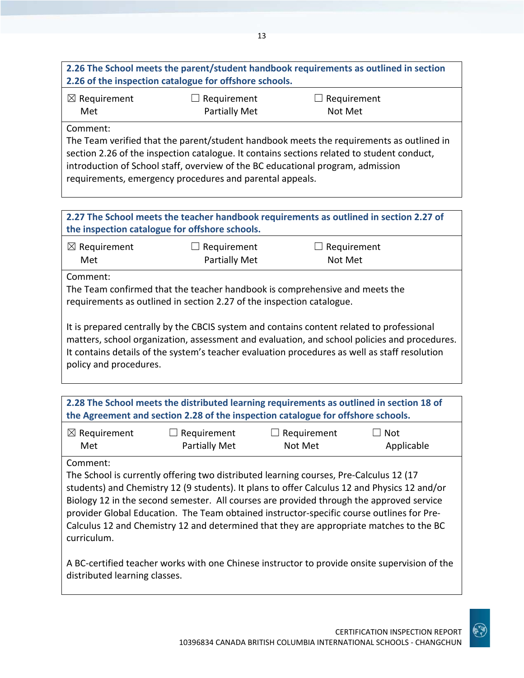## **2.26 The School meets the parent/student handbook requirements as outlined in section 2.26 of the inspection catalogue for offshore schools.**

| $\boxtimes$ Requirement | $\Box$ Requirement | $\Box$ Requirement |
|-------------------------|--------------------|--------------------|
| Met                     | Partially Met      | Not Met            |

Comment:

The Team verified that the parent/student handbook meets the requirements as outlined in section 2.26 of the inspection catalogue. It contains sections related to student conduct, introduction of School staff, overview of the BC educational program, admission requirements, emergency procedures and parental appeals.

## **2.27 The School meets the teacher handbook requirements as outlined in section 2.27 of the inspection catalogue for offshore schools.**

| $\boxtimes$ Requirement | $\Box$ Requirement   | $\Box$ Requirement |  |
|-------------------------|----------------------|--------------------|--|
| Met                     | <b>Partially Met</b> | Not Met            |  |

Comment:

The Team confirmed that the teacher handbook is comprehensive and meets the requirements as outlined in section 2.27 of the inspection catalogue.

It is prepared centrally by the CBCIS system and contains content related to professional matters, school organization, assessment and evaluation, and school policies and procedures. It contains details of the system's teacher evaluation procedures as well as staff resolution policy and procedures.

**2.28 The School meets the distributed learning requirements as outlined in section 18 of the Agreement and section 2.28 of the inspection catalogue for offshore schools.**

| $\boxtimes$ Requirement | $\Box$ Requirement | $\Box$ Requirement | $\Box$ Not |
|-------------------------|--------------------|--------------------|------------|
| Met                     | Partially Met      | Not Met            | Applicable |

Comment:

The School is currently offering two distributed learning courses, Pre-Calculus 12 (17 students) and Chemistry 12 (9 students). It plans to offer Calculus 12 and Physics 12 and/or Biology 12 in the second semester. All courses are provided through the approved service provider Global Education. The Team obtained instructor-specific course outlines for Pre-Calculus 12 and Chemistry 12 and determined that they are appropriate matches to the BC curriculum.

A BC-certified teacher works with one Chinese instructor to provide onsite supervision of the distributed learning classes.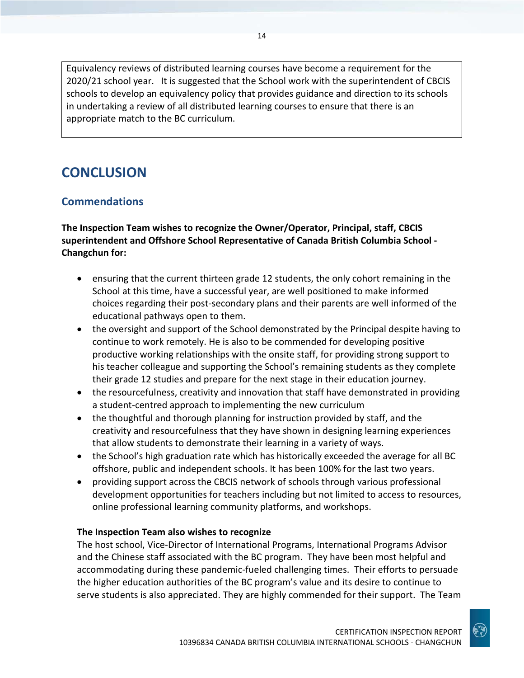Equivalency reviews of distributed learning courses have become a requirement for the 2020/21 school year. It is suggested that the School work with the superintendent of CBCIS schools to develop an equivalency policy that provides guidance and direction to its schools in undertaking a review of all distributed learning courses to ensure that there is an appropriate match to the BC curriculum.

## **CONCLUSION**

## **Commendations**

**The Inspection Team wishes to recognize the Owner/Operator, Principal, staff, CBCIS superintendent and Offshore School Representative of Canada British Columbia School - Changchun for:**

- ensuring that the current thirteen grade 12 students, the only cohort remaining in the School at this time, have a successful year, are well positioned to make informed choices regarding their post-secondary plans and their parents are well informed of the educational pathways open to them.
- the oversight and support of the School demonstrated by the Principal despite having to continue to work remotely. He is also to be commended for developing positive productive working relationships with the onsite staff, for providing strong support to his teacher colleague and supporting the School's remaining students as they complete their grade 12 studies and prepare for the next stage in their education journey.
- the resourcefulness, creativity and innovation that staff have demonstrated in providing a student-centred approach to implementing the new curriculum
- the thoughtful and thorough planning for instruction provided by staff, and the creativity and resourcefulness that they have shown in designing learning experiences that allow students to demonstrate their learning in a variety of ways.
- the School's high graduation rate which has historically exceeded the average for all BC offshore, public and independent schools. It has been 100% for the last two years.
- providing support across the CBCIS network of schools through various professional development opportunities for teachers including but not limited to access to resources, online professional learning community platforms, and workshops.

#### **The Inspection Team also wishes to recognize**

The host school, Vice-Director of International Programs, International Programs Advisor and the Chinese staff associated with the BC program. They have been most helpful and accommodating during these pandemic-fueled challenging times. Their efforts to persuade the higher education authorities of the BC program's value and its desire to continue to serve students is also appreciated. They are highly commended for their support. The Team